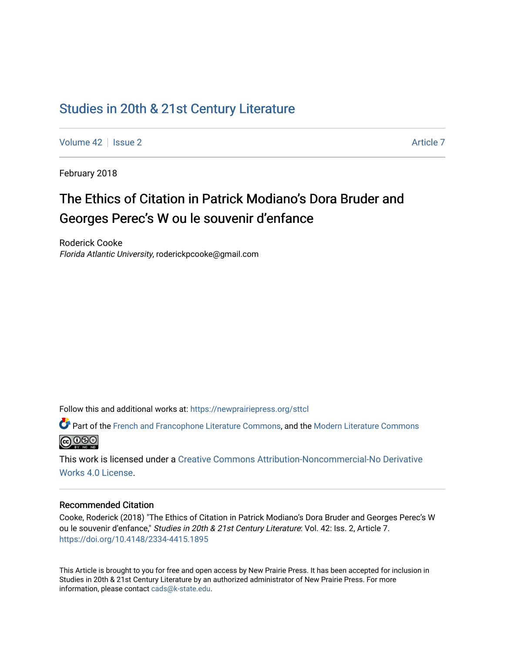## [Studies in 20th & 21st Century Literature](https://newprairiepress.org/sttcl)

[Volume 42](https://newprairiepress.org/sttcl/vol42) | [Issue 2](https://newprairiepress.org/sttcl/vol42/iss2) Article 7

February 2018

# The Ethics of Citation in Patrick Modiano's Dora Bruder and Georges Perec's W ou le souvenir d'enfance

Roderick Cooke Florida Atlantic University, roderickpcooke@gmail.com

Follow this and additional works at: [https://newprairiepress.org/sttcl](https://newprairiepress.org/sttcl?utm_source=newprairiepress.org%2Fsttcl%2Fvol42%2Fiss2%2F7&utm_medium=PDF&utm_campaign=PDFCoverPages) 

Part of the [French and Francophone Literature Commons,](http://network.bepress.com/hgg/discipline/465?utm_source=newprairiepress.org%2Fsttcl%2Fvol42%2Fiss2%2F7&utm_medium=PDF&utm_campaign=PDFCoverPages) and the [Modern Literature Commons](http://network.bepress.com/hgg/discipline/1050?utm_source=newprairiepress.org%2Fsttcl%2Fvol42%2Fiss2%2F7&utm_medium=PDF&utm_campaign=PDFCoverPages) <u>@ 000</u>

This work is licensed under a [Creative Commons Attribution-Noncommercial-No Derivative](https://creativecommons.org/licenses/by-nc-nd/4.0/)  [Works 4.0 License](https://creativecommons.org/licenses/by-nc-nd/4.0/).

#### Recommended Citation

Cooke, Roderick (2018) "The Ethics of Citation in Patrick Modiano's Dora Bruder and Georges Perec's W ou le souvenir d'enfance," Studies in 20th & 21st Century Literature: Vol. 42: Iss. 2, Article 7. <https://doi.org/10.4148/2334-4415.1895>

This Article is brought to you for free and open access by New Prairie Press. It has been accepted for inclusion in Studies in 20th & 21st Century Literature by an authorized administrator of New Prairie Press. For more information, please contact [cads@k-state.edu](mailto:cads@k-state.edu).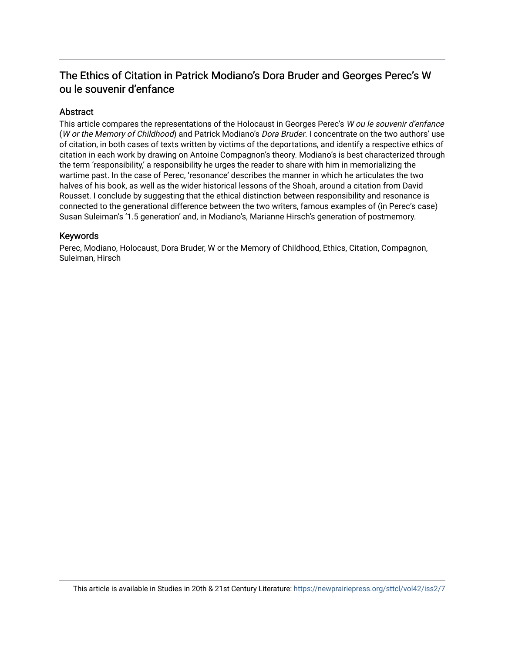### The Ethics of Citation in Patrick Modiano's Dora Bruder and Georges Perec's W ou le souvenir d'enfance

#### **Abstract**

This article compares the representations of the Holocaust in Georges Perec's W ou le souvenir d'enfance (W or the Memory of Childhood) and Patrick Modiano's Dora Bruder. I concentrate on the two authors' use of citation, in both cases of texts written by victims of the deportations, and identify a respective ethics of citation in each work by drawing on Antoine Compagnon's theory. Modiano's is best characterized through the term 'responsibility,' a responsibility he urges the reader to share with him in memorializing the wartime past. In the case of Perec, 'resonance' describes the manner in which he articulates the two halves of his book, as well as the wider historical lessons of the Shoah, around a citation from David Rousset. I conclude by suggesting that the ethical distinction between responsibility and resonance is connected to the generational difference between the two writers, famous examples of (in Perec's case) Susan Suleiman's '1.5 generation' and, in Modiano's, Marianne Hirsch's generation of postmemory.

#### Keywords

Perec, Modiano, Holocaust, Dora Bruder, W or the Memory of Childhood, Ethics, Citation, Compagnon, Suleiman, Hirsch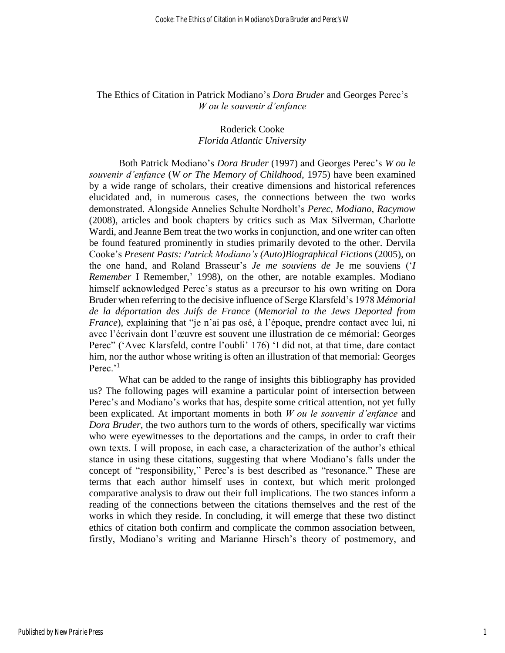#### The Ethics of Citation in Patrick Modiano's *Dora Bruder* and Georges Perec's *W ou le souvenir d'enfance*

#### Roderick Cooke *Florida Atlantic University*

Both Patrick Modiano's *Dora Bruder* (1997) and Georges Perec's *W ou le souvenir d'enfance* (*W or The Memory of Childhood*, 1975) have been examined by a wide range of scholars, their creative dimensions and historical references elucidated and, in numerous cases, the connections between the two works demonstrated. Alongside Annelies Schulte Nordholt's *Perec, Modiano, Racymow* (2008), articles and book chapters by critics such as Max Silverman, Charlotte Wardi, and Jeanne Bem treat the two works in conjunction, and one writer can often be found featured prominently in studies primarily devoted to the other. Dervila Cooke's *Present Pasts: Patrick Modiano's (Auto)Biographical Fictions* (2005), on the one hand, and Roland Brasseur's *Je me souviens de* Je me souviens ('*I Remember* I Remember,' 1998), on the other, are notable examples. Modiano himself acknowledged Perec's status as a precursor to his own writing on Dora Bruder when referring to the decisive influence of Serge Klarsfeld's 1978 *Mémorial de la déportation des Juifs de France* (*Memorial to the Jews Deported from France*), explaining that "je n'ai pas osé, à l'époque, prendre contact avec lui, ni avec l'écrivain dont l'œuvre est souvent une illustration de ce mémorial: Georges Perec" ('Avec Klarsfeld, contre l'oubli' 176) 'I did not, at that time, dare contact him, nor the author whose writing is often an illustration of that memorial: Georges Perec.'<sup>1</sup>

What can be added to the range of insights this bibliography has provided us? The following pages will examine a particular point of intersection between Perec's and Modiano's works that has, despite some critical attention, not yet fully been explicated. At important moments in both *W ou le souvenir d'enfance* and *Dora Bruder*, the two authors turn to the words of others, specifically war victims who were eyewitnesses to the deportations and the camps, in order to craft their own texts. I will propose, in each case, a characterization of the author's ethical stance in using these citations, suggesting that where Modiano's falls under the concept of "responsibility," Perec's is best described as "resonance." These are terms that each author himself uses in context, but which merit prolonged comparative analysis to draw out their full implications. The two stances inform a reading of the connections between the citations themselves and the rest of the works in which they reside. In concluding, it will emerge that these two distinct ethics of citation both confirm and complicate the common association between, firstly, Modiano's writing and Marianne Hirsch's theory of postmemory, and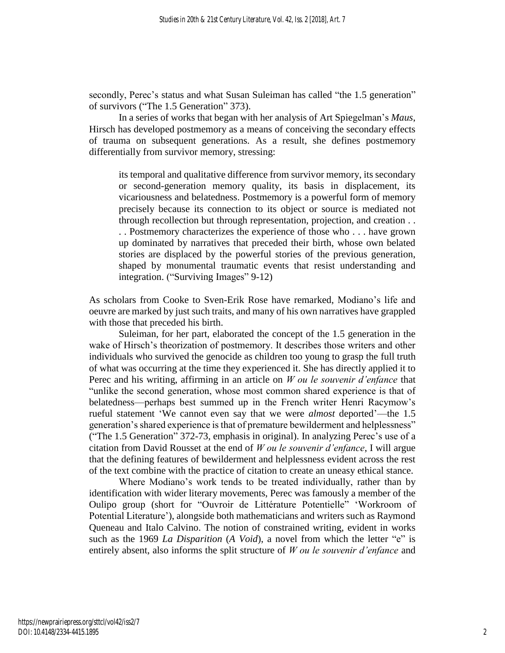secondly, Perec's status and what Susan Suleiman has called "the 1.5 generation" of survivors ("The 1.5 Generation" 373).

In a series of works that began with her analysis of Art Spiegelman's *Maus*, Hirsch has developed postmemory as a means of conceiving the secondary effects of trauma on subsequent generations. As a result, she defines postmemory differentially from survivor memory, stressing:

its temporal and qualitative difference from survivor memory, its secondary or second-generation memory quality, its basis in displacement, its vicariousness and belatedness. Postmemory is a powerful form of memory precisely because its connection to its object or source is mediated not through recollection but through representation, projection, and creation . . . . Postmemory characterizes the experience of those who . . . have grown up dominated by narratives that preceded their birth, whose own belated stories are displaced by the powerful stories of the previous generation, shaped by monumental traumatic events that resist understanding and integration. ("Surviving Images" 9-12)

As scholars from Cooke to Sven-Erik Rose have remarked, Modiano's life and oeuvre are marked by just such traits, and many of his own narratives have grappled with those that preceded his birth.

Suleiman, for her part, elaborated the concept of the 1.5 generation in the wake of Hirsch's theorization of postmemory. It describes those writers and other individuals who survived the genocide as children too young to grasp the full truth of what was occurring at the time they experienced it. She has directly applied it to Perec and his writing, affirming in an article on *W ou le souvenir d'enfance* that "unlike the second generation, whose most common shared experience is that of belatedness—perhaps best summed up in the French writer Henri Racymow's rueful statement 'We cannot even say that we were *almost* deported'—the 1.5 generation's shared experience is that of premature bewilderment and helplessness" ("The 1.5 Generation" 372-73, emphasis in original). In analyzing Perec's use of a citation from David Rousset at the end of *W ou le souvenir d'enfance*, I will argue that the defining features of bewilderment and helplessness evident across the rest of the text combine with the practice of citation to create an uneasy ethical stance.

Where Modiano's work tends to be treated individually, rather than by identification with wider literary movements, Perec was famously a member of the Oulipo group (short for "Ouvroir de Littérature Potentielle" 'Workroom of Potential Literature'), alongside both mathematicians and writers such as Raymond Queneau and Italo Calvino. The notion of constrained writing, evident in works such as the 1969 *La Disparition* (*A Void*), a novel from which the letter "e" is entirely absent, also informs the split structure of *W ou le souvenir d'enfance* and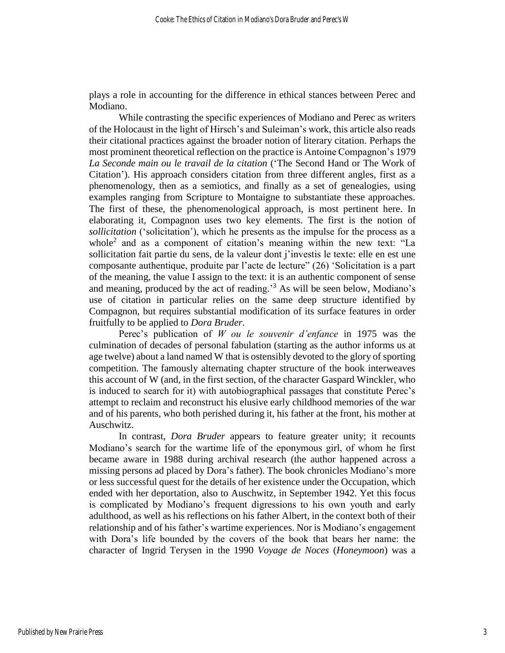plays a role in accounting for the difference in ethical stances between Perec and Modiano.

While contrasting the specific experiences of Modiano and Perec as writers of the Holocaust in the light of Hirsch's and Suleiman's work, this article also reads their citational practices against the broader notion of literary citation. Perhaps the most prominent theoretical reflection on the practice is Antoine Compagnon's 1979 *La Seconde main ou le travail de la citation* ('The Second Hand or The Work of Citation'). His approach considers citation from three different angles, first as a phenomenology, then as a semiotics, and finally as a set of genealogies, using examples ranging from Scripture to Montaigne to substantiate these approaches. The first of these, the phenomenological approach, is most pertinent here. In elaborating it, Compagnon uses two key elements. The first is the notion of *sollicitation* ('solicitation'), which he presents as the impulse for the process as a whole<sup>2</sup> and as a component of citation's meaning within the new text: "La sollicitation fait partie du sens, de la valeur dont j'investis le texte: elle en est une composante authentique, produite par l'acte de lecture" (26) 'Solicitation is a part of the meaning, the value I assign to the text: it is an authentic component of sense and meaning, produced by the act of reading.'<sup>3</sup> As will be seen below, Modiano's use of citation in particular relies on the same deep structure identified by Compagnon, but requires substantial modification of its surface features in order fruitfully to be applied to *Dora Bruder*.

Perec's publication of *W ou le souvenir d'enfance* in 1975 was the culmination of decades of personal fabulation (starting as the author informs us at age twelve) about a land named W that is ostensibly devoted to the glory of sporting competition. The famously alternating chapter structure of the book interweaves this account of W (and, in the first section, of the character Gaspard Winckler, who is induced to search for it) with autobiographical passages that constitute Perec's attempt to reclaim and reconstruct his elusive early childhood memories of the war and of his parents, who both perished during it, his father at the front, his mother at Auschwitz.

In contrast, *Dora Bruder* appears to feature greater unity; it recounts Modiano's search for the wartime life of the eponymous girl, of whom he first became aware in 1988 during archival research (the author happened across a missing persons ad placed by Dora's father). The book chronicles Modiano's more or less successful quest for the details of her existence under the Occupation, which ended with her deportation, also to Auschwitz, in September 1942. Yet this focus is complicated by Modiano's frequent digressions to his own youth and early adulthood, as well as his reflections on his father Albert, in the context both of their relationship and of his father's wartime experiences. Nor is Modiano's engagement with Dora's life bounded by the covers of the book that bears her name: the character of Ingrid Terysen in the 1990 *Voyage de Noces* (*Honeymoon*) was a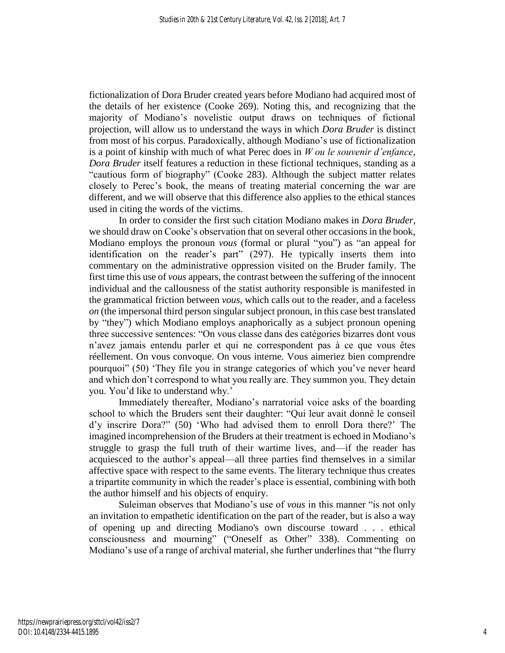fictionalization of Dora Bruder created years before Modiano had acquired most of the details of her existence (Cooke 269). Noting this, and recognizing that the majority of Modiano's novelistic output draws on techniques of fictional projection, will allow us to understand the ways in which *Dora Bruder* is distinct from most of his corpus. Paradoxically, although Modiano's use of fictionalization is a point of kinship with much of what Perec does in *W ou le souvenir d'enfance*, *Dora Bruder* itself features a reduction in these fictional techniques, standing as a "cautious form of biography" (Cooke 283). Although the subject matter relates closely to Perec's book, the means of treating material concerning the war are different, and we will observe that this difference also applies to the ethical stances used in citing the words of the victims.

In order to consider the first such citation Modiano makes in *Dora Bruder*, we should draw on Cooke's observation that on several other occasions in the book, Modiano employs the pronoun *vous* (formal or plural "you") as "an appeal for identification on the reader's part" (297). He typically inserts them into commentary on the administrative oppression visited on the Bruder family. The first time this use of *vous* appears, the contrast between the suffering of the innocent individual and the callousness of the statist authority responsible is manifested in the grammatical friction between *vous*, which calls out to the reader, and a faceless *on* (the impersonal third person singular subject pronoun, in this case best translated by "they") which Modiano employs anaphorically as a subject pronoun opening three successive sentences: "On vous classe dans des catégories bizarres dont vous n'avez jamais entendu parler et qui ne correspondent pas à ce que vous êtes réellement. On vous convoque. On vous interne. Vous aimeriez bien comprendre pourquoi" (50) 'They file you in strange categories of which you've never heard and which don't correspond to what you really are. They summon you. They detain you. You'd like to understand why.'

Immediately thereafter, Modiano's narratorial voice asks of the boarding school to which the Bruders sent their daughter: "Qui leur avait donné le conseil d'y inscrire Dora?" (50) 'Who had advised them to enroll Dora there?' The imagined incomprehension of the Bruders at their treatment is echoed in Modiano's struggle to grasp the full truth of their wartime lives, and—if the reader has acquiesced to the author's appeal—all three parties find themselves in a similar affective space with respect to the same events. The literary technique thus creates a tripartite community in which the reader's place is essential, combining with both the author himself and his objects of enquiry.

Suleiman observes that Modiano's use of *vous* in this manner "is not only an invitation to empathetic identification on the part of the reader, but is also a way of opening up and directing Modiano's own discourse toward . . . ethical consciousness and mourning" ("Oneself as Other" 338). Commenting on Modiano's use of a range of archival material, she further underlines that "the flurry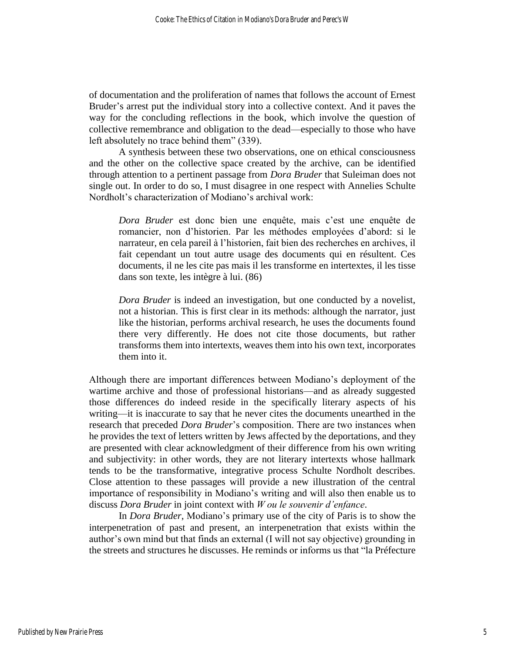of documentation and the proliferation of names that follows the account of Ernest Bruder's arrest put the individual story into a collective context. And it paves the way for the concluding reflections in the book, which involve the question of collective remembrance and obligation to the dead—especially to those who have left absolutely no trace behind them" (339).

A synthesis between these two observations, one on ethical consciousness and the other on the collective space created by the archive, can be identified through attention to a pertinent passage from *Dora Bruder* that Suleiman does not single out. In order to do so, I must disagree in one respect with Annelies Schulte Nordholt's characterization of Modiano's archival work:

*Dora Bruder* est donc bien une enquête, mais c'est une enquête de romancier, non d'historien. Par les méthodes employées d'abord: si le narrateur, en cela pareil à l'historien, fait bien des recherches en archives, il fait cependant un tout autre usage des documents qui en résultent. Ces documents, il ne les cite pas mais il les transforme en intertextes, il les tisse dans son texte, les intègre à lui. (86)

*Dora Bruder* is indeed an investigation, but one conducted by a novelist, not a historian. This is first clear in its methods: although the narrator, just like the historian, performs archival research, he uses the documents found there very differently. He does not cite those documents, but rather transforms them into intertexts, weaves them into his own text, incorporates them into it.

Although there are important differences between Modiano's deployment of the wartime archive and those of professional historians—and as already suggested those differences do indeed reside in the specifically literary aspects of his writing—it is inaccurate to say that he never cites the documents unearthed in the research that preceded *Dora Bruder*'s composition. There are two instances when he provides the text of letters written by Jews affected by the deportations, and they are presented with clear acknowledgment of their difference from his own writing and subjectivity: in other words, they are not literary intertexts whose hallmark tends to be the transformative, integrative process Schulte Nordholt describes. Close attention to these passages will provide a new illustration of the central importance of responsibility in Modiano's writing and will also then enable us to discuss *Dora Bruder* in joint context with *W ou le souvenir d'enfance*.

In *Dora Bruder*, Modiano's primary use of the city of Paris is to show the interpenetration of past and present, an interpenetration that exists within the author's own mind but that finds an external (I will not say objective) grounding in the streets and structures he discusses. He reminds or informs us that "la Préfecture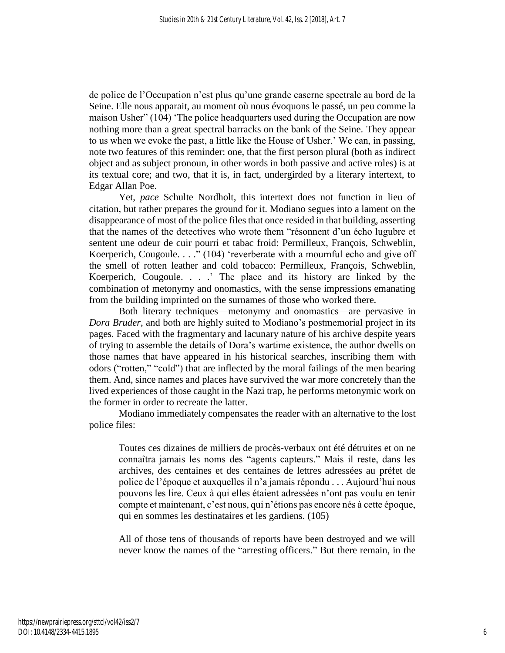de police de l'Occupation n'est plus qu'une grande caserne spectrale au bord de la Seine. Elle nous apparait, au moment où nous évoquons le passé, un peu comme la maison Usher" (104) 'The police headquarters used during the Occupation are now nothing more than a great spectral barracks on the bank of the Seine. They appear to us when we evoke the past, a little like the House of Usher.' We can, in passing, note two features of this reminder: one, that the first person plural (both as indirect object and as subject pronoun, in other words in both passive and active roles) is at its textual core; and two, that it is, in fact, undergirded by a literary intertext, to Edgar Allan Poe.

Yet, *pace* Schulte Nordholt, this intertext does not function in lieu of citation, but rather prepares the ground for it. Modiano segues into a lament on the disappearance of most of the police files that once resided in that building, asserting that the names of the detectives who wrote them "résonnent d'un écho lugubre et sentent une odeur de cuir pourri et tabac froid: Permilleux, François, Schweblin, Koerperich, Cougoule. . . ." (104) 'reverberate with a mournful echo and give off the smell of rotten leather and cold tobacco: Permilleux, François, Schweblin, Koerperich, Cougoule. . . .' The place and its history are linked by the combination of metonymy and onomastics, with the sense impressions emanating from the building imprinted on the surnames of those who worked there.

Both literary techniques—metonymy and onomastics—are pervasive in *Dora Bruder*, and both are highly suited to Modiano's postmemorial project in its pages. Faced with the fragmentary and lacunary nature of his archive despite years of trying to assemble the details of Dora's wartime existence, the author dwells on those names that have appeared in his historical searches, inscribing them with odors ("rotten," "cold") that are inflected by the moral failings of the men bearing them. And, since names and places have survived the war more concretely than the lived experiences of those caught in the Nazi trap, he performs metonymic work on the former in order to recreate the latter.

Modiano immediately compensates the reader with an alternative to the lost police files:

Toutes ces dizaines de milliers de procès-verbaux ont été détruites et on ne connaîtra jamais les noms des "agents capteurs." Mais il reste, dans les archives, des centaines et des centaines de lettres adressées au préfet de police de l'époque et auxquelles il n'a jamais répondu . . . Aujourd'hui nous pouvons les lire. Ceux à qui elles étaient adressées n'ont pas voulu en tenir compte et maintenant, c'est nous, qui n'étions pas encore nés à cette époque, qui en sommes les destinataires et les gardiens. (105)

All of those tens of thousands of reports have been destroyed and we will never know the names of the "arresting officers." But there remain, in the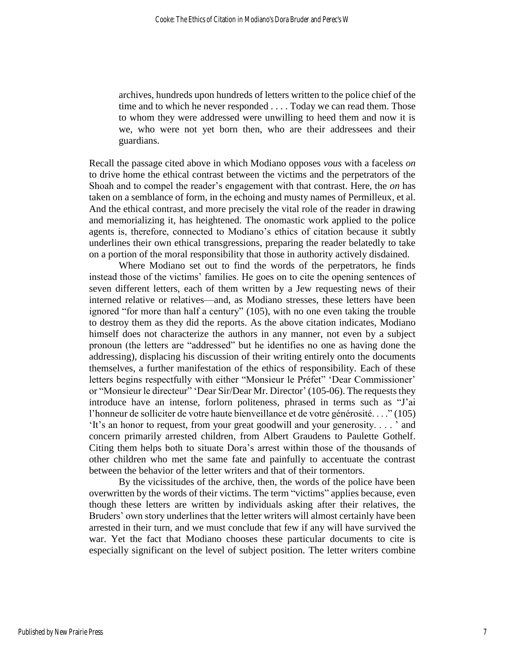archives, hundreds upon hundreds of letters written to the police chief of the time and to which he never responded . . . . Today we can read them. Those to whom they were addressed were unwilling to heed them and now it is we, who were not yet born then, who are their addressees and their guardians.

Recall the passage cited above in which Modiano opposes *vous* with a faceless *on* to drive home the ethical contrast between the victims and the perpetrators of the Shoah and to compel the reader's engagement with that contrast. Here, the *on* has taken on a semblance of form, in the echoing and musty names of Permilleux, et al. And the ethical contrast, and more precisely the vital role of the reader in drawing and memorializing it, has heightened. The onomastic work applied to the police agents is, therefore, connected to Modiano's ethics of citation because it subtly underlines their own ethical transgressions, preparing the reader belatedly to take on a portion of the moral responsibility that those in authority actively disdained.

Where Modiano set out to find the words of the perpetrators, he finds instead those of the victims' families. He goes on to cite the opening sentences of seven different letters, each of them written by a Jew requesting news of their interned relative or relatives—and, as Modiano stresses, these letters have been ignored "for more than half a century" (105), with no one even taking the trouble to destroy them as they did the reports. As the above citation indicates, Modiano himself does not characterize the authors in any manner, not even by a subject pronoun (the letters are "addressed" but he identifies no one as having done the addressing), displacing his discussion of their writing entirely onto the documents themselves, a further manifestation of the ethics of responsibility. Each of these letters begins respectfully with either "Monsieur le Préfet" 'Dear Commissioner' or "Monsieur le directeur" 'Dear Sir/Dear Mr. Director' (105-06). The requests they introduce have an intense, forlorn politeness, phrased in terms such as "J'ai l'honneur de solliciter de votre haute bienveillance et de votre générosité. . . ." (105) 'It's an honor to request, from your great goodwill and your generosity. . . . ' and concern primarily arrested children, from Albert Graudens to Paulette Gothelf. Citing them helps both to situate Dora's arrest within those of the thousands of other children who met the same fate and painfully to accentuate the contrast between the behavior of the letter writers and that of their tormentors.

By the vicissitudes of the archive, then, the words of the police have been overwritten by the words of their victims. The term "victims" applies because, even though these letters are written by individuals asking after their relatives, the Bruders' own story underlines that the letter writers will almost certainly have been arrested in their turn, and we must conclude that few if any will have survived the war. Yet the fact that Modiano chooses these particular documents to cite is especially significant on the level of subject position. The letter writers combine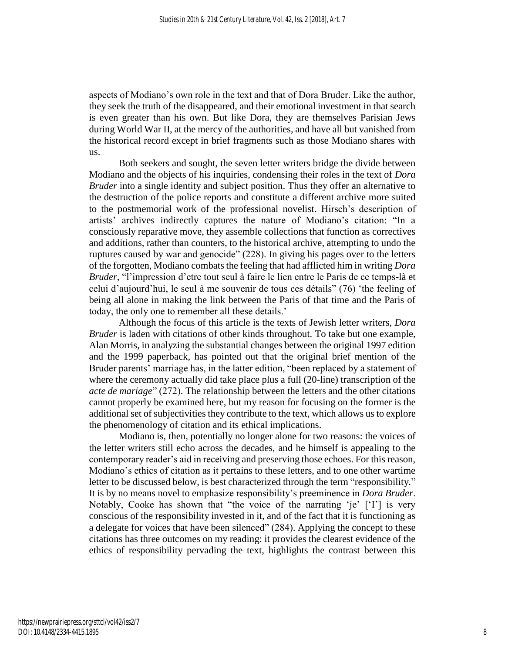aspects of Modiano's own role in the text and that of Dora Bruder. Like the author, they seek the truth of the disappeared, and their emotional investment in that search is even greater than his own. But like Dora, they are themselves Parisian Jews during World War II, at the mercy of the authorities, and have all but vanished from the historical record except in brief fragments such as those Modiano shares with us.

Both seekers and sought, the seven letter writers bridge the divide between Modiano and the objects of his inquiries, condensing their roles in the text of *Dora Bruder* into a single identity and subject position. Thus they offer an alternative to the destruction of the police reports and constitute a different archive more suited to the postmemorial work of the professional novelist. Hirsch's description of artists' archives indirectly captures the nature of Modiano's citation: "In a consciously reparative move, they assemble collections that function as correctives and additions, rather than counters, to the historical archive, attempting to undo the ruptures caused by war and genocide" (228). In giving his pages over to the letters of the forgotten, Modiano combats the feeling that had afflicted him in writing *Dora Bruder*, "l'impression d'etre tout seul à faire le lien entre le Paris de ce temps-là et celui d'aujourd'hui, le seul à me souvenir de tous ces détails" (76) 'the feeling of being all alone in making the link between the Paris of that time and the Paris of today, the only one to remember all these details.'

Although the focus of this article is the texts of Jewish letter writers, *Dora Bruder* is laden with citations of other kinds throughout. To take but one example, Alan Morris, in analyzing the substantial changes between the original 1997 edition and the 1999 paperback, has pointed out that the original brief mention of the Bruder parents' marriage has, in the latter edition, "been replaced by a statement of where the ceremony actually did take place plus a full (20-line) transcription of the *acte de mariage*" (272). The relationship between the letters and the other citations cannot properly be examined here, but my reason for focusing on the former is the additional set of subjectivities they contribute to the text, which allows us to explore the phenomenology of citation and its ethical implications.

Modiano is, then, potentially no longer alone for two reasons: the voices of the letter writers still echo across the decades, and he himself is appealing to the contemporary reader's aid in receiving and preserving those echoes. For this reason, Modiano's ethics of citation as it pertains to these letters, and to one other wartime letter to be discussed below, is best characterized through the term "responsibility." It is by no means novel to emphasize responsibility's preeminence in *Dora Bruder*. Notably, Cooke has shown that "the voice of the narrating 'je' ['I'] is very conscious of the responsibility invested in it, and of the fact that it is functioning as a delegate for voices that have been silenced" (284). Applying the concept to these citations has three outcomes on my reading: it provides the clearest evidence of the ethics of responsibility pervading the text, highlights the contrast between this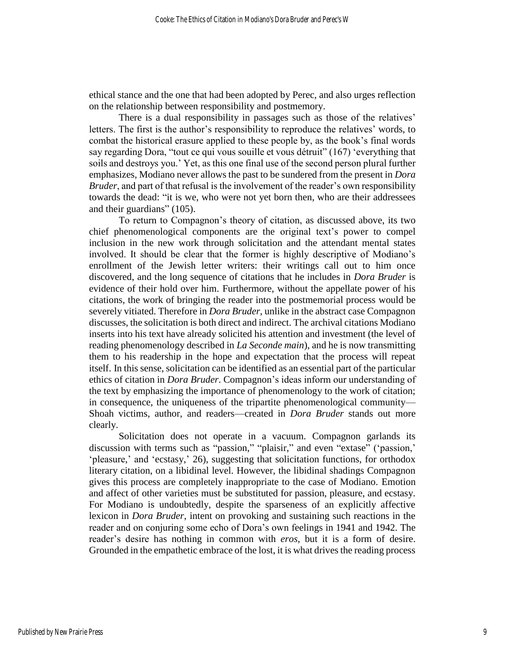ethical stance and the one that had been adopted by Perec, and also urges reflection on the relationship between responsibility and postmemory.

There is a dual responsibility in passages such as those of the relatives' letters. The first is the author's responsibility to reproduce the relatives' words, to combat the historical erasure applied to these people by, as the book's final words say regarding Dora, "tout ce qui vous souille et vous détruit" (167) 'everything that soils and destroys you.' Yet, as this one final use of the second person plural further emphasizes, Modiano never allows the past to be sundered from the present in *Dora Bruder*, and part of that refusal is the involvement of the reader's own responsibility towards the dead: "it is we, who were not yet born then, who are their addressees and their guardians" (105).

To return to Compagnon's theory of citation, as discussed above, its two chief phenomenological components are the original text's power to compel inclusion in the new work through solicitation and the attendant mental states involved. It should be clear that the former is highly descriptive of Modiano's enrollment of the Jewish letter writers: their writings call out to him once discovered, and the long sequence of citations that he includes in *Dora Bruder* is evidence of their hold over him. Furthermore, without the appellate power of his citations, the work of bringing the reader into the postmemorial process would be severely vitiated. Therefore in *Dora Bruder*, unlike in the abstract case Compagnon discusses, the solicitation is both direct and indirect. The archival citations Modiano inserts into his text have already solicited his attention and investment (the level of reading phenomenology described in *La Seconde main*), and he is now transmitting them to his readership in the hope and expectation that the process will repeat itself. In this sense, solicitation can be identified as an essential part of the particular ethics of citation in *Dora Bruder*. Compagnon's ideas inform our understanding of the text by emphasizing the importance of phenomenology to the work of citation; in consequence, the uniqueness of the tripartite phenomenological community— Shoah victims, author, and readers—created in *Dora Bruder* stands out more clearly.

Solicitation does not operate in a vacuum. Compagnon garlands its discussion with terms such as "passion," "plaisir," and even "extase" ('passion,' 'pleasure,' and 'ecstasy,' 26), suggesting that solicitation functions, for orthodox literary citation, on a libidinal level. However, the libidinal shadings Compagnon gives this process are completely inappropriate to the case of Modiano. Emotion and affect of other varieties must be substituted for passion, pleasure, and ecstasy. For Modiano is undoubtedly, despite the sparseness of an explicitly affective lexicon in *Dora Bruder*, intent on provoking and sustaining such reactions in the reader and on conjuring some echo of Dora's own feelings in 1941 and 1942. The reader's desire has nothing in common with *eros*, but it is a form of desire. Grounded in the empathetic embrace of the lost, it is what drives the reading process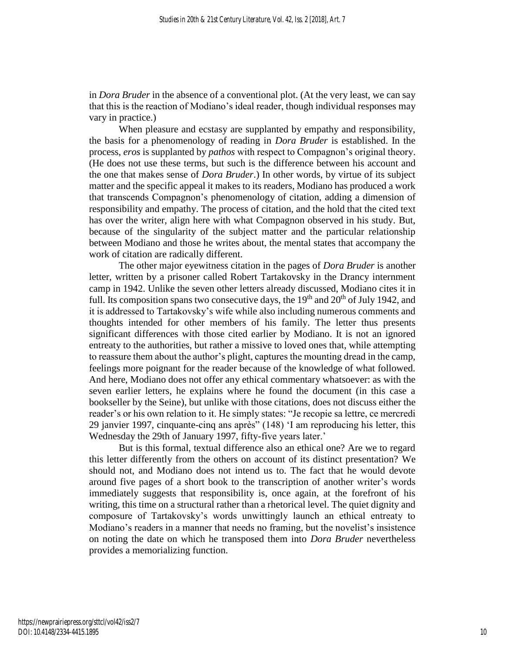in *Dora Bruder* in the absence of a conventional plot. (At the very least, we can say that this is the reaction of Modiano's ideal reader, though individual responses may vary in practice.)

When pleasure and ecstasy are supplanted by empathy and responsibility, the basis for a phenomenology of reading in *Dora Bruder* is established. In the process, *eros* is supplanted by *pathos* with respect to Compagnon's original theory. (He does not use these terms, but such is the difference between his account and the one that makes sense of *Dora Bruder*.) In other words, by virtue of its subject matter and the specific appeal it makes to its readers, Modiano has produced a work that transcends Compagnon's phenomenology of citation, adding a dimension of responsibility and empathy. The process of citation, and the hold that the cited text has over the writer, align here with what Compagnon observed in his study. But, because of the singularity of the subject matter and the particular relationship between Modiano and those he writes about, the mental states that accompany the work of citation are radically different.

The other major eyewitness citation in the pages of *Dora Bruder* is another letter, written by a prisoner called Robert Tartakovsky in the Drancy internment camp in 1942. Unlike the seven other letters already discussed, Modiano cites it in full. Its composition spans two consecutive days, the  $19<sup>th</sup>$  and  $20<sup>th</sup>$  of July 1942, and it is addressed to Tartakovsky's wife while also including numerous comments and thoughts intended for other members of his family. The letter thus presents significant differences with those cited earlier by Modiano. It is not an ignored entreaty to the authorities, but rather a missive to loved ones that, while attempting to reassure them about the author's plight, captures the mounting dread in the camp, feelings more poignant for the reader because of the knowledge of what followed. And here, Modiano does not offer any ethical commentary whatsoever: as with the seven earlier letters, he explains where he found the document (in this case a bookseller by the Seine), but unlike with those citations, does not discuss either the reader's or his own relation to it. He simply states: "Je recopie sa lettre, ce mercredi 29 janvier 1997, cinquante-cinq ans après" (148) 'I am reproducing his letter, this Wednesday the 29th of January 1997, fifty-five years later.'

But is this formal, textual difference also an ethical one? Are we to regard this letter differently from the others on account of its distinct presentation? We should not, and Modiano does not intend us to. The fact that he would devote around five pages of a short book to the transcription of another writer's words immediately suggests that responsibility is, once again, at the forefront of his writing, this time on a structural rather than a rhetorical level. The quiet dignity and composure of Tartakovsky's words unwittingly launch an ethical entreaty to Modiano's readers in a manner that needs no framing, but the novelist's insistence on noting the date on which he transposed them into *Dora Bruder* nevertheless provides a memorializing function.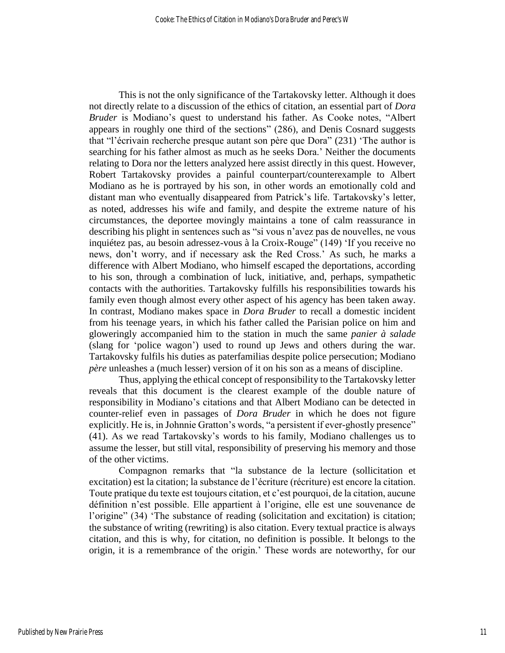This is not the only significance of the Tartakovsky letter. Although it does not directly relate to a discussion of the ethics of citation, an essential part of *Dora Bruder* is Modiano's quest to understand his father. As Cooke notes, "Albert appears in roughly one third of the sections" (286), and Denis Cosnard suggests that "l'écrivain recherche presque autant son père que Dora" (231) 'The author is searching for his father almost as much as he seeks Dora.' Neither the documents relating to Dora nor the letters analyzed here assist directly in this quest. However, Robert Tartakovsky provides a painful counterpart/counterexample to Albert Modiano as he is portrayed by his son, in other words an emotionally cold and distant man who eventually disappeared from Patrick's life. Tartakovsky's letter, as noted, addresses his wife and family, and despite the extreme nature of his circumstances, the deportee movingly maintains a tone of calm reassurance in describing his plight in sentences such as "si vous n'avez pas de nouvelles, ne vous inquiétez pas, au besoin adressez-vous à la Croix-Rouge" (149) 'If you receive no news, don't worry, and if necessary ask the Red Cross.' As such, he marks a difference with Albert Modiano, who himself escaped the deportations, according to his son, through a combination of luck, initiative, and, perhaps, sympathetic contacts with the authorities. Tartakovsky fulfills his responsibilities towards his family even though almost every other aspect of his agency has been taken away. In contrast, Modiano makes space in *Dora Bruder* to recall a domestic incident from his teenage years, in which his father called the Parisian police on him and gloweringly accompanied him to the station in much the same *panier à salade* (slang for 'police wagon') used to round up Jews and others during the war. Tartakovsky fulfils his duties as paterfamilias despite police persecution; Modiano *père* unleashes a (much lesser) version of it on his son as a means of discipline.

Thus, applying the ethical concept of responsibility to the Tartakovsky letter reveals that this document is the clearest example of the double nature of responsibility in Modiano's citations and that Albert Modiano can be detected in counter-relief even in passages of *Dora Bruder* in which he does not figure explicitly. He is, in Johnnie Gratton's words, "a persistent if ever-ghostly presence" (41). As we read Tartakovsky's words to his family, Modiano challenges us to assume the lesser, but still vital, responsibility of preserving his memory and those of the other victims.

Compagnon remarks that "la substance de la lecture (sollicitation et excitation) est la citation; la substance de l'écriture (récriture) est encore la citation. Toute pratique du texte est toujours citation, et c'est pourquoi, de la citation, aucune définition n'est possible. Elle appartient à l'origine, elle est une souvenance de l'origine" (34) 'The substance of reading (solicitation and excitation) is citation; the substance of writing (rewriting) is also citation. Every textual practice is always citation, and this is why, for citation, no definition is possible. It belongs to the origin, it is a remembrance of the origin.' These words are noteworthy, for our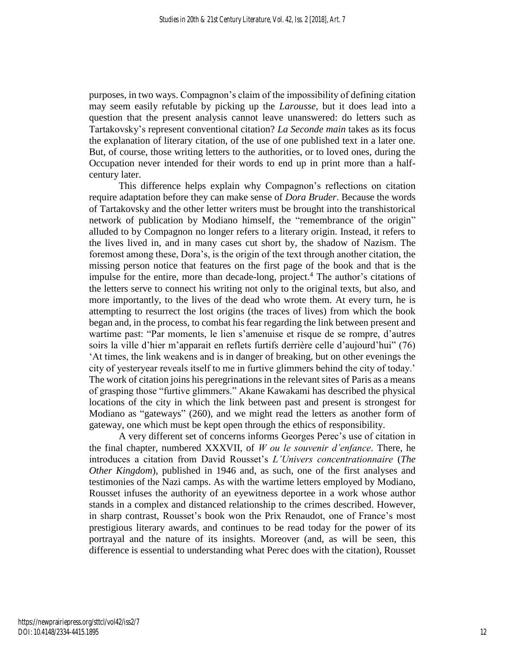purposes, in two ways. Compagnon's claim of the impossibility of defining citation may seem easily refutable by picking up the *Larousse*, but it does lead into a question that the present analysis cannot leave unanswered: do letters such as Tartakovsky's represent conventional citation? *La Seconde main* takes as its focus the explanation of literary citation, of the use of one published text in a later one. But, of course, those writing letters to the authorities, or to loved ones, during the Occupation never intended for their words to end up in print more than a halfcentury later.

This difference helps explain why Compagnon's reflections on citation require adaptation before they can make sense of *Dora Bruder*. Because the words of Tartakovsky and the other letter writers must be brought into the transhistorical network of publication by Modiano himself, the "remembrance of the origin" alluded to by Compagnon no longer refers to a literary origin. Instead, it refers to the lives lived in, and in many cases cut short by, the shadow of Nazism. The foremost among these, Dora's, is the origin of the text through another citation, the missing person notice that features on the first page of the book and that is the impulse for the entire, more than decade-long, project. <sup>4</sup> The author's citations of the letters serve to connect his writing not only to the original texts, but also, and more importantly, to the lives of the dead who wrote them. At every turn, he is attempting to resurrect the lost origins (the traces of lives) from which the book began and, in the process, to combat his fear regarding the link between present and wartime past: "Par moments, le lien s'amenuise et risque de se rompre, d'autres soirs la ville d'hier m'apparait en reflets furtifs derrière celle d'aujourd'hui" (76) 'At times, the link weakens and is in danger of breaking, but on other evenings the city of yesteryear reveals itself to me in furtive glimmers behind the city of today.' The work of citation joins his peregrinations in the relevant sites of Paris as a means of grasping those "furtive glimmers." Akane Kawakami has described the physical locations of the city in which the link between past and present is strongest for Modiano as "gateways" (260), and we might read the letters as another form of gateway, one which must be kept open through the ethics of responsibility.

A very different set of concerns informs Georges Perec's use of citation in the final chapter, numbered XXXVII, of *W ou le souvenir d'enfance*. There, he introduces a citation from David Rousset's *L'Univers concentrationnaire* (*The Other Kingdom*), published in 1946 and, as such, one of the first analyses and testimonies of the Nazi camps. As with the wartime letters employed by Modiano, Rousset infuses the authority of an eyewitness deportee in a work whose author stands in a complex and distanced relationship to the crimes described. However, in sharp contrast, Rousset's book won the Prix Renaudot, one of France's most prestigious literary awards, and continues to be read today for the power of its portrayal and the nature of its insights. Moreover (and, as will be seen, this difference is essential to understanding what Perec does with the citation), Rousset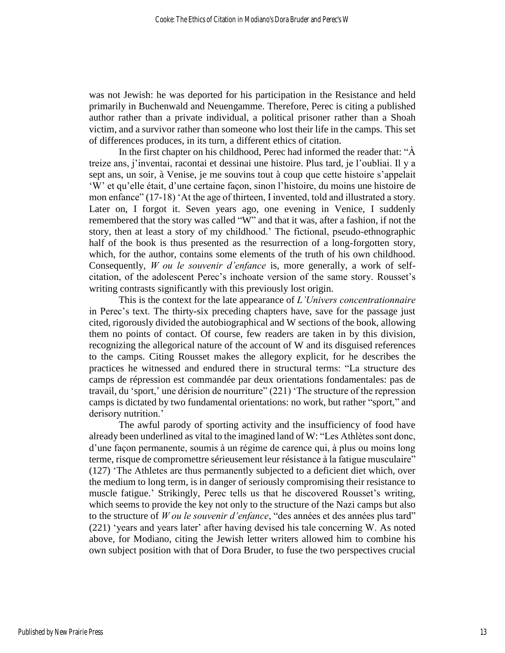was not Jewish: he was deported for his participation in the Resistance and held primarily in Buchenwald and Neuengamme. Therefore, Perec is citing a published author rather than a private individual, a political prisoner rather than a Shoah victim, and a survivor rather than someone who lost their life in the camps. This set of differences produces, in its turn, a different ethics of citation.

In the first chapter on his childhood, Perec had informed the reader that: "A treize ans, j'inventai, racontai et dessinai une histoire. Plus tard, je l'oubliai. Il y a sept ans, un soir, à Venise, je me souvins tout à coup que cette histoire s'appelait 'W' et qu'elle était, d'une certaine façon, sinon l'histoire, du moins une histoire de mon enfance"  $(17-18)$  'At the age of thirteen, I invented, told and illustrated a story. Later on, I forgot it. Seven years ago, one evening in Venice, I suddenly remembered that the story was called "W" and that it was, after a fashion, if not the story, then at least a story of my childhood.' The fictional, pseudo-ethnographic half of the book is thus presented as the resurrection of a long-forgotten story, which, for the author, contains some elements of the truth of his own childhood. Consequently, *W ou le souvenir d'enfance* is, more generally, a work of selfcitation, of the adolescent Perec's inchoate version of the same story. Rousset's writing contrasts significantly with this previously lost origin.

This is the context for the late appearance of *L'Univers concentrationnaire* in Perec's text. The thirty-six preceding chapters have, save for the passage just cited, rigorously divided the autobiographical and W sections of the book, allowing them no points of contact. Of course, few readers are taken in by this division, recognizing the allegorical nature of the account of W and its disguised references to the camps. Citing Rousset makes the allegory explicit, for he describes the practices he witnessed and endured there in structural terms: "La structure des camps de répression est commandée par deux orientations fondamentales: pas de travail, du 'sport,' une dérision de nourriture" (221) 'The structure of the repression camps is dictated by two fundamental orientations: no work, but rather "sport," and derisory nutrition.'

The awful parody of sporting activity and the insufficiency of food have already been underlined as vital to the imagined land of W: "Les Athlètes sont donc, d'une façon permanente, soumis à un régime de carence qui, à plus ou moins long terme, risque de compromettre sérieusement leur résistance à la fatigue musculaire" (127) 'The Athletes are thus permanently subjected to a deficient diet which, over the medium to long term, is in danger of seriously compromising their resistance to muscle fatigue.' Strikingly, Perec tells us that he discovered Rousset's writing, which seems to provide the key not only to the structure of the Nazi camps but also to the structure of *W ou le souvenir d'enfance*, "des années et des années plus tard" (221) 'years and years later' after having devised his tale concerning W. As noted above, for Modiano, citing the Jewish letter writers allowed him to combine his own subject position with that of Dora Bruder, to fuse the two perspectives crucial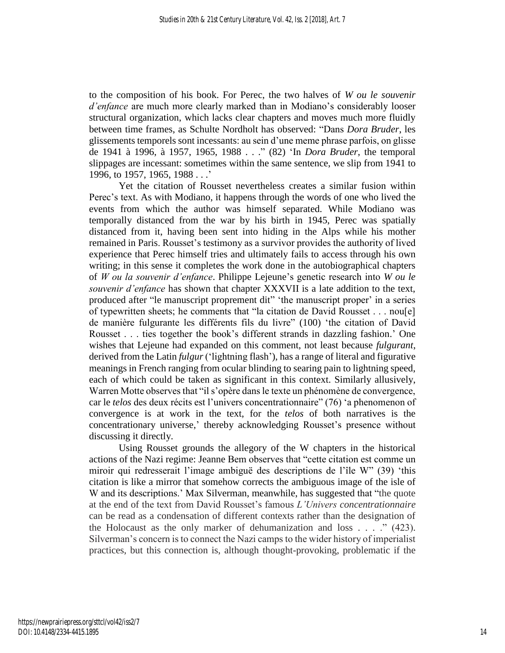to the composition of his book. For Perec, the two halves of *W ou le souvenir d'enfance* are much more clearly marked than in Modiano's considerably looser structural organization, which lacks clear chapters and moves much more fluidly between time frames, as Schulte Nordholt has observed: "Dans *Dora Bruder*, les glissements temporels sont incessants: au sein d'une meme phrase parfois, on glisse de 1941 à 1996, à 1957, 1965, 1988 . . ." (82) 'In *Dora Bruder*, the temporal slippages are incessant: sometimes within the same sentence, we slip from 1941 to 1996, to 1957, 1965, 1988 . . .'

Yet the citation of Rousset nevertheless creates a similar fusion within Perec's text. As with Modiano, it happens through the words of one who lived the events from which the author was himself separated. While Modiano was temporally distanced from the war by his birth in 1945, Perec was spatially distanced from it, having been sent into hiding in the Alps while his mother remained in Paris. Rousset's testimony as a survivor provides the authority of lived experience that Perec himself tries and ultimately fails to access through his own writing; in this sense it completes the work done in the autobiographical chapters of *W ou la souvenir d'enfance*. Philippe Lejeune's genetic research into *W ou le souvenir d'enfance* has shown that chapter XXXVII is a late addition to the text, produced after "le manuscript proprement dit" 'the manuscript proper' in a series of typewritten sheets; he comments that "la citation de David Rousset . . . nou[e] de manière fulgurante les différents fils du livre" (100) 'the citation of David Rousset . . . ties together the book's different strands in dazzling fashion.' One wishes that Lejeune had expanded on this comment, not least because *fulgurant*, derived from the Latin *fulgur* ('lightning flash'), has a range of literal and figurative meanings in French ranging from ocular blinding to searing pain to lightning speed, each of which could be taken as significant in this context. Similarly allusively, Warren Motte observes that "il s'opère dans le texte un phénomène de convergence, car le *telos* des deux récits est l'univers concentrationnaire" (76) 'a phenomenon of convergence is at work in the text, for the *telos* of both narratives is the concentrationary universe,' thereby acknowledging Rousset's presence without discussing it directly.

Using Rousset grounds the allegory of the W chapters in the historical actions of the Nazi regime: Jeanne Bem observes that "cette citation est comme un miroir qui redresserait l'image ambiguë des descriptions de l'île W" (39) 'this citation is like a mirror that somehow corrects the ambiguous image of the isle of W and its descriptions.' Max Silverman, meanwhile, has suggested that "the quote at the end of the text from David Rousset's famous *L'Univers concentrationnaire* can be read as a condensation of different contexts rather than the designation of the Holocaust as the only marker of dehumanization and loss  $\ldots$  ." (423). Silverman's concern is to connect the Nazi camps to the wider history of imperialist practices, but this connection is, although thought-provoking, problematic if the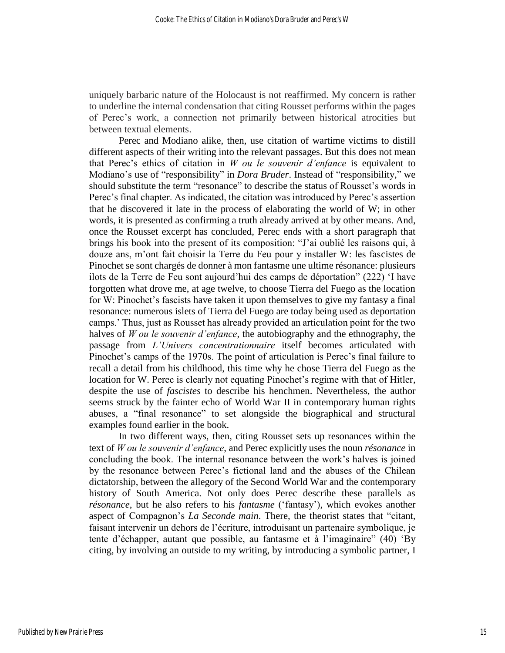uniquely barbaric nature of the Holocaust is not reaffirmed. My concern is rather to underline the internal condensation that citing Rousset performs within the pages of Perec's work, a connection not primarily between historical atrocities but between textual elements.

Perec and Modiano alike, then, use citation of wartime victims to distill different aspects of their writing into the relevant passages. But this does not mean that Perec's ethics of citation in *W ou le souvenir d'enfance* is equivalent to Modiano's use of "responsibility" in *Dora Bruder*. Instead of "responsibility," we should substitute the term "resonance" to describe the status of Rousset's words in Perec's final chapter. As indicated, the citation was introduced by Perec's assertion that he discovered it late in the process of elaborating the world of W; in other words, it is presented as confirming a truth already arrived at by other means. And, once the Rousset excerpt has concluded, Perec ends with a short paragraph that brings his book into the present of its composition: "J'ai oublié les raisons qui, à douze ans, m'ont fait choisir la Terre du Feu pour y installer W: les fascistes de Pinochet se sont chargés de donner à mon fantasme une ultime résonance: plusieurs ilots de la Terre de Feu sont aujourd'hui des camps de déportation" (222) 'I have forgotten what drove me, at age twelve, to choose Tierra del Fuego as the location for W: Pinochet's fascists have taken it upon themselves to give my fantasy a final resonance: numerous islets of Tierra del Fuego are today being used as deportation camps.' Thus, just as Rousset has already provided an articulation point for the two halves of *W ou le souvenir d'enfance*, the autobiography and the ethnography, the passage from *L'Univers concentrationnaire* itself becomes articulated with Pinochet's camps of the 1970s. The point of articulation is Perec's final failure to recall a detail from his childhood, this time why he chose Tierra del Fuego as the location for W. Perec is clearly not equating Pinochet's regime with that of Hitler, despite the use of *fascistes* to describe his henchmen. Nevertheless, the author seems struck by the fainter echo of World War II in contemporary human rights abuses, a "final resonance" to set alongside the biographical and structural examples found earlier in the book.

In two different ways, then, citing Rousset sets up resonances within the text of *W ou le souvenir d'enfance*, and Perec explicitly uses the noun *résonance* in concluding the book. The internal resonance between the work's halves is joined by the resonance between Perec's fictional land and the abuses of the Chilean dictatorship, between the allegory of the Second World War and the contemporary history of South America. Not only does Perec describe these parallels as *résonance*, but he also refers to his *fantasme* ('fantasy'), which evokes another aspect of Compagnon's *La Seconde main*. There, the theorist states that "citant, faisant intervenir un dehors de l'écriture, introduisant un partenaire symbolique, je tente d'échapper, autant que possible, au fantasme et à l'imaginaire" (40) 'By citing, by involving an outside to my writing, by introducing a symbolic partner, I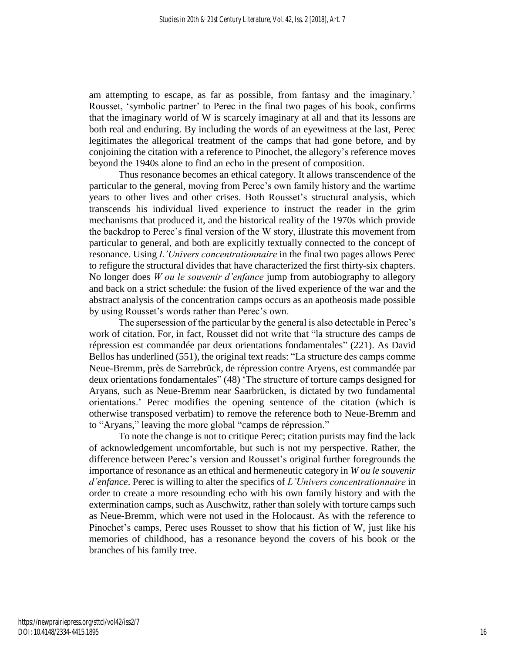am attempting to escape, as far as possible, from fantasy and the imaginary.' Rousset, 'symbolic partner' to Perec in the final two pages of his book, confirms that the imaginary world of W is scarcely imaginary at all and that its lessons are both real and enduring. By including the words of an eyewitness at the last, Perec legitimates the allegorical treatment of the camps that had gone before, and by conjoining the citation with a reference to Pinochet, the allegory's reference moves beyond the 1940s alone to find an echo in the present of composition.

Thus resonance becomes an ethical category. It allows transcendence of the particular to the general, moving from Perec's own family history and the wartime years to other lives and other crises. Both Rousset's structural analysis, which transcends his individual lived experience to instruct the reader in the grim mechanisms that produced it, and the historical reality of the 1970s which provide the backdrop to Perec's final version of the W story, illustrate this movement from particular to general, and both are explicitly textually connected to the concept of resonance. Using *L'Univers concentrationnaire* in the final two pages allows Perec to refigure the structural divides that have characterized the first thirty-six chapters. No longer does *W ou le souvenir d'enfance* jump from autobiography to allegory and back on a strict schedule: the fusion of the lived experience of the war and the abstract analysis of the concentration camps occurs as an apotheosis made possible by using Rousset's words rather than Perec's own.

The supersession of the particular by the general is also detectable in Perec's work of citation. For, in fact, Rousset did not write that "la structure des camps de répression est commandée par deux orientations fondamentales" (221). As David Bellos has underlined (551), the original text reads: "La structure des camps comme Neue-Bremm, près de Sarrebrück, de répression contre Aryens, est commandée par deux orientations fondamentales" (48) 'The structure of torture camps designed for Aryans, such as Neue-Bremm near Saarbrücken, is dictated by two fundamental orientations.' Perec modifies the opening sentence of the citation (which is otherwise transposed verbatim) to remove the reference both to Neue-Bremm and to "Aryans," leaving the more global "camps de répression."

To note the change is not to critique Perec; citation purists may find the lack of acknowledgement uncomfortable, but such is not my perspective. Rather, the difference between Perec's version and Rousset's original further foregrounds the importance of resonance as an ethical and hermeneutic category in *W ou le souvenir d'enfance*. Perec is willing to alter the specifics of *L'Univers concentrationnaire* in order to create a more resounding echo with his own family history and with the extermination camps, such as Auschwitz, rather than solely with torture camps such as Neue-Bremm, which were not used in the Holocaust. As with the reference to Pinochet's camps, Perec uses Rousset to show that his fiction of W, just like his memories of childhood, has a resonance beyond the covers of his book or the branches of his family tree.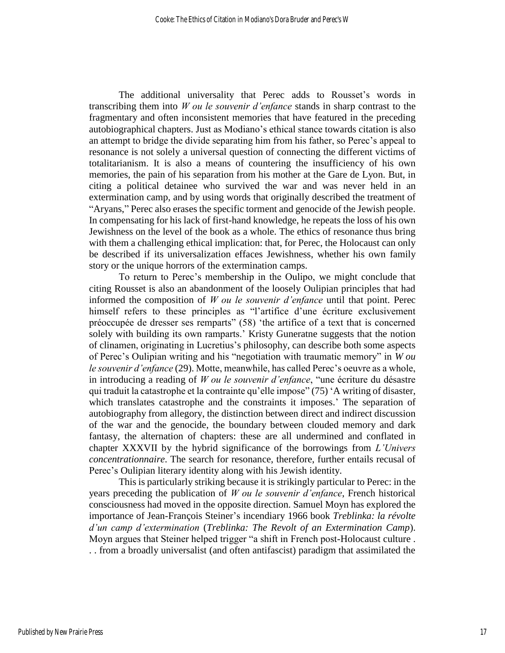The additional universality that Perec adds to Rousset's words in transcribing them into *W ou le souvenir d'enfance* stands in sharp contrast to the fragmentary and often inconsistent memories that have featured in the preceding autobiographical chapters. Just as Modiano's ethical stance towards citation is also an attempt to bridge the divide separating him from his father, so Perec's appeal to resonance is not solely a universal question of connecting the different victims of totalitarianism. It is also a means of countering the insufficiency of his own memories, the pain of his separation from his mother at the Gare de Lyon. But, in citing a political detainee who survived the war and was never held in an extermination camp, and by using words that originally described the treatment of "Aryans," Perec also erases the specific torment and genocide of the Jewish people. In compensating for his lack of first-hand knowledge, he repeats the loss of his own Jewishness on the level of the book as a whole. The ethics of resonance thus bring with them a challenging ethical implication: that, for Perec, the Holocaust can only be described if its universalization effaces Jewishness, whether his own family story or the unique horrors of the extermination camps.

To return to Perec's membership in the Oulipo, we might conclude that citing Rousset is also an abandonment of the loosely Oulipian principles that had informed the composition of *W ou le souvenir d'enfance* until that point. Perec himself refers to these principles as "l'artifice d'une écriture exclusivement préoccupée de dresser ses remparts" (58) 'the artifice of a text that is concerned solely with building its own ramparts.' Kristy Guneratne suggests that the notion of clinamen, originating in Lucretius's philosophy, can describe both some aspects of Perec's Oulipian writing and his "negotiation with traumatic memory" in *W ou le souvenir d'enfance* (29). Motte, meanwhile, has called Perec's oeuvre as a whole, in introducing a reading of *W ou le souvenir d'enfance*, "une écriture du désastre qui traduit la catastrophe et la contrainte qu'elle impose" (75) 'A writing of disaster, which translates catastrophe and the constraints it imposes.' The separation of autobiography from allegory, the distinction between direct and indirect discussion of the war and the genocide, the boundary between clouded memory and dark fantasy, the alternation of chapters: these are all undermined and conflated in chapter XXXVII by the hybrid significance of the borrowings from *L'Univers concentrationnaire*. The search for resonance, therefore, further entails recusal of Perec's Oulipian literary identity along with his Jewish identity.

This is particularly striking because it is strikingly particular to Perec: in the years preceding the publication of *W ou le souvenir d'enfance*, French historical consciousness had moved in the opposite direction. Samuel Moyn has explored the importance of Jean-François Steiner's incendiary 1966 book *Treblinka: la révolte d'un camp d'extermination* (*Treblinka: The Revolt of an Extermination Camp*). Moyn argues that Steiner helped trigger "a shift in French post-Holocaust culture . . . from a broadly universalist (and often antifascist) paradigm that assimilated the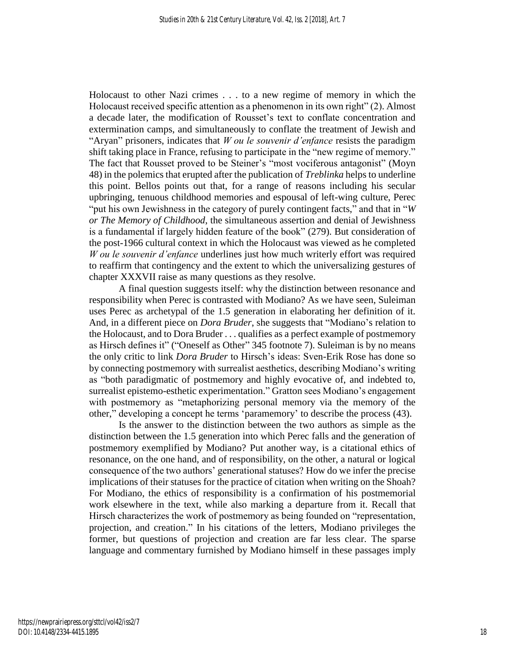Holocaust to other Nazi crimes . . . to a new regime of memory in which the Holocaust received specific attention as a phenomenon in its own right" (2). Almost a decade later, the modification of Rousset's text to conflate concentration and extermination camps, and simultaneously to conflate the treatment of Jewish and "Aryan" prisoners, indicates that *W ou le souvenir d'enfance* resists the paradigm shift taking place in France, refusing to participate in the "new regime of memory." The fact that Rousset proved to be Steiner's "most vociferous antagonist" (Moyn 48) in the polemics that erupted after the publication of *Treblinka* helps to underline this point. Bellos points out that, for a range of reasons including his secular upbringing, tenuous childhood memories and espousal of left-wing culture, Perec "put his own Jewishness in the category of purely contingent facts," and that in "*W or The Memory of Childhood*, the simultaneous assertion and denial of Jewishness is a fundamental if largely hidden feature of the book" (279). But consideration of the post-1966 cultural context in which the Holocaust was viewed as he completed *W ou le souvenir d'enfance* underlines just how much writerly effort was required to reaffirm that contingency and the extent to which the universalizing gestures of chapter XXXVII raise as many questions as they resolve.

A final question suggests itself: why the distinction between resonance and responsibility when Perec is contrasted with Modiano? As we have seen, Suleiman uses Perec as archetypal of the 1.5 generation in elaborating her definition of it. And, in a different piece on *Dora Bruder*, she suggests that "Modiano's relation to the Holocaust, and to Dora Bruder . . . qualifies as a perfect example of postmemory as Hirsch defines it" ("Oneself as Other" 345 footnote 7). Suleiman is by no means the only critic to link *Dora Bruder* to Hirsch's ideas: Sven-Erik Rose has done so by connecting postmemory with surrealist aesthetics, describing Modiano's writing as "both paradigmatic of postmemory and highly evocative of, and indebted to, surrealist epistemo-esthetic experimentation." Gratton sees Modiano's engagement with postmemory as "metaphorizing personal memory via the memory of the other," developing a concept he terms 'paramemory' to describe the process (43).

Is the answer to the distinction between the two authors as simple as the distinction between the 1.5 generation into which Perec falls and the generation of postmemory exemplified by Modiano? Put another way, is a citational ethics of resonance, on the one hand, and of responsibility, on the other, a natural or logical consequence of the two authors' generational statuses? How do we infer the precise implications of their statuses for the practice of citation when writing on the Shoah? For Modiano, the ethics of responsibility is a confirmation of his postmemorial work elsewhere in the text, while also marking a departure from it. Recall that Hirsch characterizes the work of postmemory as being founded on "representation, projection, and creation." In his citations of the letters, Modiano privileges the former, but questions of projection and creation are far less clear. The sparse language and commentary furnished by Modiano himself in these passages imply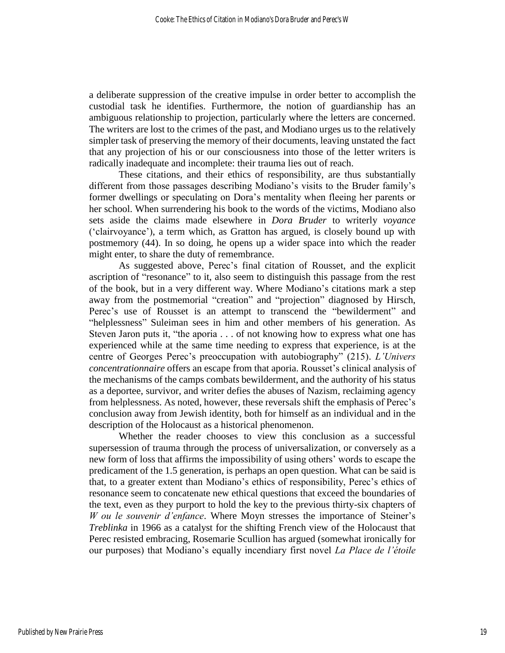a deliberate suppression of the creative impulse in order better to accomplish the custodial task he identifies. Furthermore, the notion of guardianship has an ambiguous relationship to projection, particularly where the letters are concerned. The writers are lost to the crimes of the past, and Modiano urges us to the relatively simpler task of preserving the memory of their documents, leaving unstated the fact that any projection of his or our consciousness into those of the letter writers is radically inadequate and incomplete: their trauma lies out of reach.

These citations, and their ethics of responsibility, are thus substantially different from those passages describing Modiano's visits to the Bruder family's former dwellings or speculating on Dora's mentality when fleeing her parents or her school. When surrendering his book to the words of the victims, Modiano also sets aside the claims made elsewhere in *Dora Bruder* to writerly *voyance* ('clairvoyance'), a term which, as Gratton has argued, is closely bound up with postmemory (44). In so doing, he opens up a wider space into which the reader might enter, to share the duty of remembrance.

As suggested above, Perec's final citation of Rousset, and the explicit ascription of "resonance" to it, also seem to distinguish this passage from the rest of the book, but in a very different way. Where Modiano's citations mark a step away from the postmemorial "creation" and "projection" diagnosed by Hirsch, Perec's use of Rousset is an attempt to transcend the "bewilderment" and "helplessness" Suleiman sees in him and other members of his generation. As Steven Jaron puts it, "the aporia . . . of not knowing how to express what one has experienced while at the same time needing to express that experience, is at the centre of Georges Perec's preoccupation with autobiography" (215). *L'Univers concentrationnaire* offers an escape from that aporia. Rousset's clinical analysis of the mechanisms of the camps combats bewilderment, and the authority of his status as a deportee, survivor, and writer defies the abuses of Nazism, reclaiming agency from helplessness. As noted, however, these reversals shift the emphasis of Perec's conclusion away from Jewish identity, both for himself as an individual and in the description of the Holocaust as a historical phenomenon.

Whether the reader chooses to view this conclusion as a successful supersession of trauma through the process of universalization, or conversely as a new form of loss that affirms the impossibility of using others' words to escape the predicament of the 1.5 generation, is perhaps an open question. What can be said is that, to a greater extent than Modiano's ethics of responsibility, Perec's ethics of resonance seem to concatenate new ethical questions that exceed the boundaries of the text, even as they purport to hold the key to the previous thirty-six chapters of *W ou le souvenir d'enfance*. Where Moyn stresses the importance of Steiner's *Treblinka* in 1966 as a catalyst for the shifting French view of the Holocaust that Perec resisted embracing, Rosemarie Scullion has argued (somewhat ironically for our purposes) that Modiano's equally incendiary first novel *La Place de l'étoile*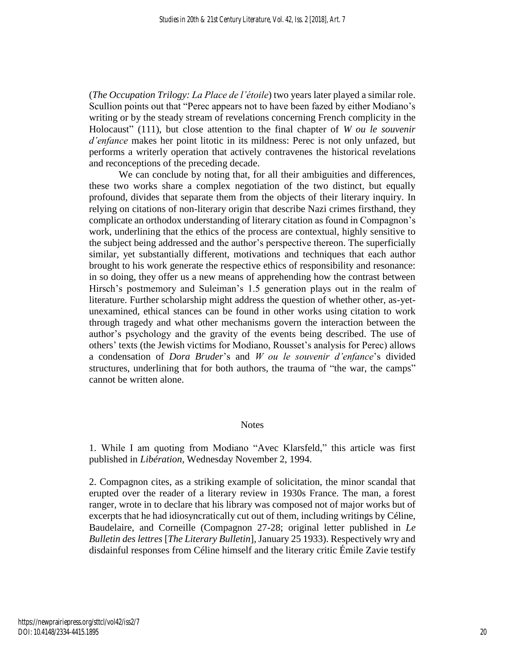(*The Occupation Trilogy: La Place de l'étoile*) two years later played a similar role. Scullion points out that "Perec appears not to have been fazed by either Modiano's writing or by the steady stream of revelations concerning French complicity in the Holocaust" (111), but close attention to the final chapter of *W ou le souvenir d'enfance* makes her point litotic in its mildness: Perec is not only unfazed, but performs a writerly operation that actively contravenes the historical revelations and reconceptions of the preceding decade.

We can conclude by noting that, for all their ambiguities and differences, these two works share a complex negotiation of the two distinct, but equally profound, divides that separate them from the objects of their literary inquiry. In relying on citations of non-literary origin that describe Nazi crimes firsthand, they complicate an orthodox understanding of literary citation as found in Compagnon's work, underlining that the ethics of the process are contextual, highly sensitive to the subject being addressed and the author's perspective thereon. The superficially similar, yet substantially different, motivations and techniques that each author brought to his work generate the respective ethics of responsibility and resonance: in so doing, they offer us a new means of apprehending how the contrast between Hirsch's postmemory and Suleiman's 1.5 generation plays out in the realm of literature. Further scholarship might address the question of whether other, as-yetunexamined, ethical stances can be found in other works using citation to work through tragedy and what other mechanisms govern the interaction between the author's psychology and the gravity of the events being described. The use of others' texts (the Jewish victims for Modiano, Rousset's analysis for Perec) allows a condensation of *Dora Bruder*'s and *W ou le souvenir d'enfance*'s divided structures, underlining that for both authors, the trauma of "the war, the camps" cannot be written alone.

#### Notes

1. While I am quoting from Modiano "Avec Klarsfeld," this article was first published in *Libération*, Wednesday November 2, 1994.

2. Compagnon cites, as a striking example of solicitation, the minor scandal that erupted over the reader of a literary review in 1930s France. The man, a forest ranger, wrote in to declare that his library was composed not of major works but of excerpts that he had idiosyncratically cut out of them, including writings by Céline, Baudelaire, and Corneille (Compagnon 27-28; original letter published in *Le Bulletin des lettres* [*The Literary Bulletin*], January 25 1933). Respectively wry and disdainful responses from Céline himself and the literary critic Émile Zavie testify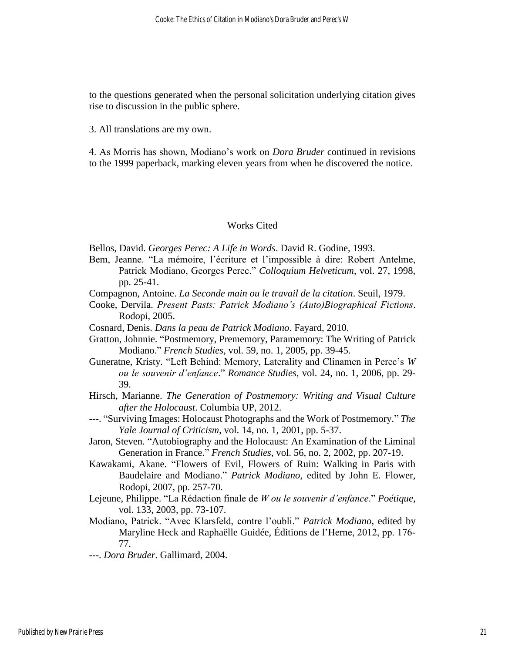to the questions generated when the personal solicitation underlying citation gives rise to discussion in the public sphere.

3. All translations are my own.

4. As Morris has shown, Modiano's work on *Dora Bruder* continued in revisions to the 1999 paperback, marking eleven years from when he discovered the notice.

#### Works Cited

Bellos, David. *Georges Perec: A Life in Words*. David R. Godine, 1993.

- Bem, Jeanne. "La mémoire, l'écriture et l'impossible à dire: Robert Antelme, Patrick Modiano, Georges Perec." *Colloquium Helveticum*, vol. 27, 1998, pp. 25-41.
- Compagnon, Antoine. *La Seconde main ou le travail de la citation*. Seuil, 1979.
- Cooke, Dervila. *Present Pasts: Patrick Modiano's (Auto)Biographical Fictions*. Rodopi, 2005.
- Cosnard, Denis. *Dans la peau de Patrick Modiano*. Fayard, 2010.
- Gratton, Johnnie. "Postmemory, Prememory, Paramemory: The Writing of Patrick Modiano." *French Studies*, vol. 59, no. 1, 2005, pp. 39-45.
- Guneratne, Kristy. "Left Behind: Memory, Laterality and Clinamen in Perec's *W ou le souvenir d'enfance*." *Romance Studies*, vol. 24, no. 1, 2006, pp. 29- 39.
- Hirsch, Marianne. *The Generation of Postmemory: Writing and Visual Culture after the Holocaust*. Columbia UP, 2012.
- ---. "Surviving Images: Holocaust Photographs and the Work of Postmemory." *The Yale Journal of Criticism*, vol. 14, no. 1, 2001, pp. 5-37.
- Jaron, Steven. "Autobiography and the Holocaust: An Examination of the Liminal Generation in France." *French Studies*, vol. 56, no. 2, 2002, pp. 207-19.
- Kawakami, Akane. "Flowers of Evil, Flowers of Ruin: Walking in Paris with Baudelaire and Modiano." *Patrick Modiano*, edited by John E. Flower, Rodopi, 2007, pp. 257-70.
- Lejeune, Philippe. "La Rédaction finale de *W ou le souvenir d'enfance*." *Poétique*, vol. 133, 2003, pp. 73-107.
- Modiano, Patrick. "Avec Klarsfeld, contre l'oubli." *Patrick Modiano*, edited by Maryline Heck and Raphaëlle Guidée, Éditions de l'Herne, 2012, pp. 176- 77.
- ---. *Dora Bruder*. Gallimard, 2004.